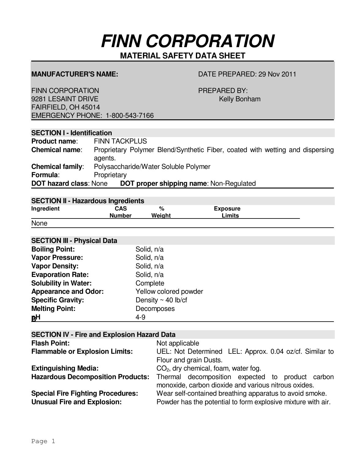# **FINN CORPORATION**

 **MATERIAL SAFETY DATA SHEET** 

# **MANUFACTURER'S NAME:** DATE PREPARED: 29 Nov 2011

FINN CORPORATION **PREPARED BY:** 9281 LESAINT DRIVE **Kelly Bonham** FAIRFIELD, OH 45014 EMERGENCY PHONE: 1-800-543-7166

# **SECTION I - Identification**

| Product name:                 | <b>FINN TACKPLUS</b>                                                                     |
|-------------------------------|------------------------------------------------------------------------------------------|
| <b>Chemical name:</b>         | Proprietary Polymer Blend/Synthetic Fiber, coated with wetting and dispersing<br>agents. |
| <b>Chemical family:</b>       | Polysaccharide/Water Soluble Polymer                                                     |
| Formula:                      | Proprietary                                                                              |
| <b>DOT hazard class: None</b> | <b>DOT proper shipping name: Non-Regulated</b>                                           |

# **SECTION II - Hazardous Ingredients**

|            | <u>sestion</u> in the above ingrestories |        |                 |  |
|------------|------------------------------------------|--------|-----------------|--|
| Ingredient | CAS                                      | %      | <b>Exposure</b> |  |
|            | <b>Number</b>                            | Weight | imits           |  |
| . .        |                                          |        |                 |  |

### None

| <b>SECTION III - Physical Data</b> |                         |
|------------------------------------|-------------------------|
| <b>Boiling Point:</b>              | Solid, n/a              |
| <b>Vapor Pressure:</b>             | Solid, n/a              |
| <b>Vapor Density:</b>              | Solid, n/a              |
| <b>Evaporation Rate:</b>           | Solid, n/a              |
| <b>Solubility in Water:</b>        | Complete                |
| <b>Appearance and Odor:</b>        | Yellow colored powder   |
| <b>Specific Gravity:</b>           | Density $\sim$ 40 lb/cf |
| <b>Melting Point:</b>              | Decomposes              |
| <b>BH</b>                          | $4 - 9$                 |

| <b>SECTION IV - Fire and Explosion Hazard Data</b> |                                                              |  |
|----------------------------------------------------|--------------------------------------------------------------|--|
| <b>Flash Point:</b>                                | Not applicable                                               |  |
| <b>Flammable or Explosion Limits:</b>              | UEL: Not Determined LEL: Approx. 0.04 oz/cf. Similar to      |  |
|                                                    | Flour and grain Dusts.                                       |  |
| <b>Extinguishing Media:</b>                        | CO <sub>2</sub> , dry chemical, foam, water fog.             |  |
| <b>Hazardous Decomposition Products:</b>           | Thermal decomposition expected to product carbon             |  |
|                                                    | monoxide, carbon dioxide and various nitrous oxides.         |  |
| <b>Special Fire Fighting Procedures:</b>           | Wear self-contained breathing apparatus to avoid smoke.      |  |
| <b>Unusual Fire and Explosion:</b>                 | Powder has the potential to form explosive mixture with air. |  |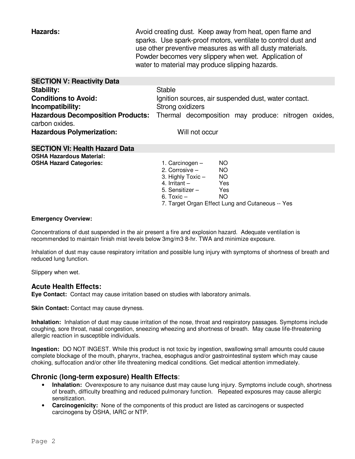**SECTION V: Reactivity Data** 

**Hazards: Hazards:** Avoid creating dust. Keep away from heat, open flame and sparks. Use spark-proof motors, ventilate to control dust and use other preventive measures as with all dusty materials. Powder becomes very slippery when wet. Application of water to material may produce slipping hazards.

| <b>JLUTIVIY V. NGGULIVILY DALA</b>                                                                      |                   |                                                      |     |  |  |
|---------------------------------------------------------------------------------------------------------|-------------------|------------------------------------------------------|-----|--|--|
| <b>Stability:</b>                                                                                       | <b>Stable</b>     |                                                      |     |  |  |
| <b>Conditions to Avoid:</b>                                                                             |                   | Ignition sources, air suspended dust, water contact. |     |  |  |
| Incompatibility:                                                                                        | Strong oxidizers  |                                                      |     |  |  |
| Hazardous Decomposition Products: Thermal decomposition may produce: nitrogen oxides,<br>carbon oxides. |                   |                                                      |     |  |  |
| <b>Hazardous Polymerization:</b>                                                                        |                   | Will not occur                                       |     |  |  |
| <b>SECTION VI: Health Hazard Data</b>                                                                   |                   |                                                      |     |  |  |
| <b>OSHA Hazardous Material:</b>                                                                         |                   |                                                      |     |  |  |
| <b>OSHA Hazard Categories:</b>                                                                          | 1. Carcinogen $-$ |                                                      | NO. |  |  |
|                                                                                                         |                   | 2. Corrosive -                                       | NO. |  |  |
|                                                                                                         |                   | 3. Highly $Toxic -$                                  | NO  |  |  |
|                                                                                                         | 4. Irritant –     |                                                      | Yes |  |  |
|                                                                                                         | 5. Sensitizer $-$ |                                                      | Yes |  |  |
|                                                                                                         | 6. Toxic $-$      |                                                      | NO. |  |  |
|                                                                                                         |                   | 7. Target Organ Effect Lung and Cutaneous -- Yes     |     |  |  |

#### **Emergency Overview:**

Concentrations of dust suspended in the air present a fire and explosion hazard. Adequate ventilation is recommended to maintain finish mist levels below 3mg/m3 8-hr. TWA and minimize exposure.

Inhalation of dust may cause respiratory irritation and possible lung injury with symptoms of shortness of breath and reduced lung function.

Slippery when wet.

### **Acute Health Effects:**

**Eye Contact:** Contact may cause irritation based on studies with laboratory animals.

**Skin Contact:** Contact may cause dryness.

**Inhalation:** Inhalation of dust may cause irritation of the nose, throat and respiratory passages. Symptoms include coughing, sore throat, nasal congestion, sneezing wheezing and shortness of breath. May cause life-threatening allergic reaction in susceptible individuals.

**Ingestion:** DO NOT INGEST. While this product is not toxic by ingestion, swallowing small amounts could cause complete blockage of the mouth, pharynx, trachea, esophagus and/or gastrointestinal system which may cause choking, suffocation and/or other life threatening medical conditions. Get medical attention immediately.

# **Chronic (long-term exposure) Health Effects**:

- **Inhalation:** Overexposure to any nuisance dust may cause lung injury. Symptoms include cough, shortness of breath, difficulty breathing and reduced pulmonary function. Repeated exposures may cause allergic sensitization.
- **Carcinogenicity:** None of the components of this product are listed as carcinogens or suspected carcinogens by OSHA, IARC or NTP.